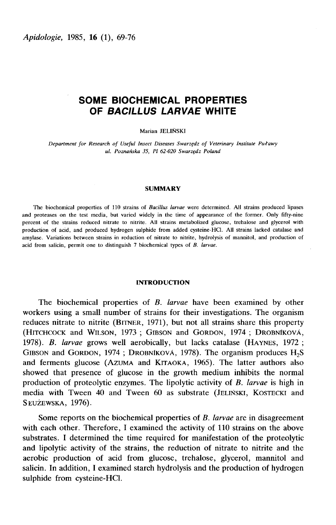# SOME BIOCHEMICAL PROPERTIES OF BACILLUS LARVAE WHITE

Marian JELIÑSKI

Department for Research of Useful Insect Diseases Swarzqdz of Veterinary Institute Pulawy Marian JELIÑSKI<br>19 ch of Useful Insect Diseases Swarzędz of Vete<br>19 ul. Poznańska 35, PI 62-020 Swarzędz Poland

### SUMMARY

The biochemical properties of 110 strains of Bacillus larvae were determined. All strains produced lipases and proteases on the test media, but varied widely in the time of appearance of the former. Only fifty-nine percent of the strains reduced nitrate to nitrite. All strains metabolized glucose, trehalose and glycerol with production of acid, and produced hydrogen sulphide from added cysteine-HCI. All strains lacked catalase and amylase. Variations between strains in reduction of nitrate to nitrite, hydrolysis of mannitol, and production of acid from salicin, permit one to distinguish 7 biochemical types of B. larvae.

# INTRODUCTION

The biochemical properties of B. larvae have been examined by other workers using a small number of strains for their investigations. The organism The biochemical properties of *B. larvae* have been examined by other<br>workers using a small number of strains for their investigations. The organism<br>reduces nitrate to nitrite (BITNER, 1971), but not all strains share this **INTRODUCTION**<br>
The biochemical properties of *B. larvae* have been examined by other<br>
workers using a small number of strains for their investigations. The organism<br>
reduces nitrate to nitrite (BITNER, 1971), but not all The biochemical properties of *B. larvae* have been examined by other<br>workers using a small number of strains for their investigations. The organism<br>reduces nitrate to nitrite (BITNER, 1971), but not all strains share thi reduces nitrate to nitrite (BITNER, 1971), but not all strains share this property (HITCHCOCK and WILSON, 1973; GIBSON and GORDON, 1974; DROBNÍKOVÁ, 1978). B. larvae grows well aerobically, but lacks catalase (HAYNES, 1972 showed that presence of glucose in the growth medium inhibits the normal production of proteolytic enzymes. The lipolytic activity of B. larvae is high in media with Tween 40 and Tween 60 as substrate (JELIŃSKI, KOSTECKI and and ferments glucose (AZUMA and KITAOKA, 1965). The latter authors also SŁUŻEWSKA, 1976).

Some reports on the biochemical properties of B. larvae are in disagreement with each other. Therefore, I examined the activity of 110 strains on the above substrates. I determined the time required for manifestation of the proteolytic and lipolytic activity of the strains, the reduction of nitrate to nitrite and the aerobic production of acid from glucose, trehalose, glycerol, mannitol and salicin. In addition, I examined starch hydrolysis and the production of hydrogen sulphide from cysteine-HCI.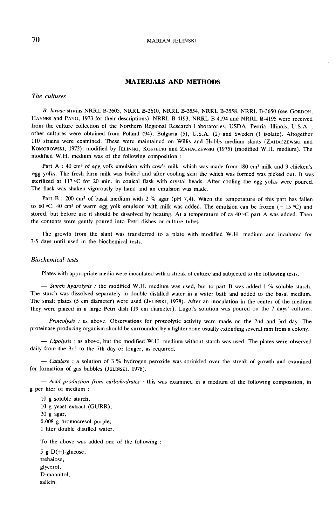### **MARIAN JELINSKI**

# MATERIALS AND METHODS

The cultures

The cultures<br>
B. larvae strains NRRL B-2605, NRRL B-2610, NRRL B-3554, NRRL B-3558, NRRL B-3650 (see GORDON,<br>
HAYNES and PANG, 1973 for their descriptions), NRRL B-4193, NRRL B-4194 and NRRL B-4195 were received<br>
from the B. larvae strains NRRL B-2605, NRRL B-2610, NRRL B-3554, NRRL B-3558, NRRL B-3650 (see GORDON,<br>PANG, 1973 for their descriptions), NRRL B-4193, NRRL B-4194 and NRRL B-4195 were received from the culture collection of the Northern Regional Research Laboratories, USDA, Peoria, Illinois, U.S.A. ; other cultures were obtained from Poland (94), Bulgaria (5), U.S.A. (2) and Sweden (1 isolate). Altogether B. larvae<br>HAYNES and 1<br>from the cultures<br>other cultures<br>110 strains w<br>KOMOROWSK1,<br>modified W.F 110 from the culture collection of the Northern Regional Research Laboratories, USDA, Peoria, Illinois, U.S.A.<br>110 strains were obtained from Poland (94), Bulgaria (5), U.S.A. (2) and Sweden (1 isolate). Altogether<br>110 str B. larvae strains NRRL B-2605, NRRL B-2610, NRRL B-3554, NRRL B-3558, NRRL B-3650 (see GORDON, HAYNES and PANG, 1973 for their descriptions), NRRL B-4193, NRRL B-4194 and NRRL B-4195 were received from the culture collecti modified W.H. medium was of the following composition :

Part A : 40 cm<sup>3</sup> of egg yolk emulsion with cow's milk, which was made from 180 cm<sup>3</sup> milk and 3 chicken's egg yolks. The fresh farm milk was boiled and after cooling skin the which was formed was picked out. It was Part A : 40 cm<sup>3</sup> of egg yolk emulsion with cow's milk, which was made from 180 cm<sup>3</sup> milk and 3 chicken's egg yolks. The fresh farm milk was boiled and after cooling skin the which was formed was picked out. It was steri The flask was shaken vigorously by hand and an emulsion was made.<br>Part B : 200 cm<sup>3</sup> of basal medium with 2 % agar (pH 7,4). When the temperature of this part has fallen

to 60  $\degree$ C, 40 cm<sup>3</sup> of warm egg yolk emulsion with milk was added. The emulsion can be frozen (-15  $\degree$ C) and stored, but before use it should be dissolved by heating. At a temperature of ca 40 °C part A was added. Then the contents were gently poured into Petri dishes or culture tubes.

The growth from the slant was transferred to a plate with modified W.H. medium and incubated for 3-5 days until used in the biochemical tests.

# Biochemical tests

Plates with appropriate media were inoculated with a streak of culture and subjected to the following tests.

 $-$  Starch hydrolysis : the modified W.H. medium was used, but to part B was added 1 % soluble starch. The starch was dissolved separately in double distilled water in a water bath and added to the basal medium. The small plates (5 cm diameter) were used (JELINSKI, 1978). After an inoculation in the center of the medium.<br>The starch was dissolved separately in double distilled water in a water bath and added to the basal medium.<br>Th they were placed in a large Petri dish (19 cm diameter). Lugol's solution was poured on the 7 days' cultures.

- Proteolysis : as above. Observations for proteolytic activity were made on the 2nd and 3rd day. The proteinase-producing organism should be surrounded by a lighter zone usually extending several mm from a colony.

- Lipolysis : as above, but the modified W.H. medium without starch was used. The plates were observed daily from the 3rd to the 7th day or longer, as required.

 $-$  Catalase : a solution of 3 % hydrogen peroxide was sprinkled over the streak of growth and examined for formation of gas bubbles (JELINSKI, 1978).

 $-$  Acid production from carbohydrates : this was examined in a medium of the following composition, in g per liter of medium :

10 g soluble starch, 10 g yeast extract (GURR), 20 g agar, 0.008 g bromocresol purple, 1 liter double distilled water.

To the above was added one of the following :

5 g  $D(+)$ -glucose, trehalose, glycerol, D-mannitol, salicin.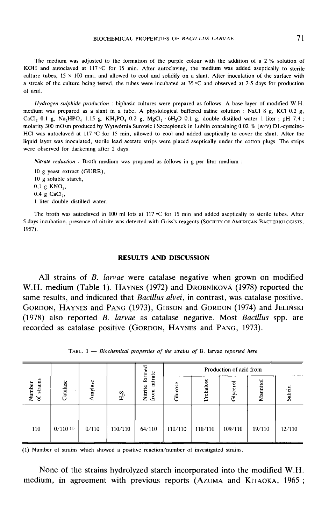The medium was adjusted to the formation of the purple colour with the addition of a 2 % solution of The medium was adjusted to the formation of the purple colour with the addition of a 2 % solution of<br>KOH and autoclaved at 117 °C for 15 min. After autoclaving, the medium was added aseptically to sterile<br>military tubes 1 ROT and autoclaved at 117 °C for 15 mm. After autoclaving, the medium was added aseptically to sterile<br>culture tubes,  $15 \times 100$  mm, and allowed to cool and solidify on a slant. After inoculation of the surface with<br>a str

Hydrogen sulphide production : biphasic cultures were prepared as follows. A base layer of modified W.H. medium was prepared as a slant in a tube. A physiological buffered saline solution : NaCI 8 g, KCI 0.2 g, *Hydrogen sulphide production*: biphasic cultures were prepared as follows. A base layer of modified W.H. medium was prepared as a slant in a tube. A physiological buffered saline solution: NaCl 8 g, KCl 0.2 g, CaCl<sub>2</sub> 0. CaCl<sub>2</sub> 0.1 g, Na<sub>2</sub>HPO<sub>4</sub> 1.15 g, KH<sub>2</sub>PO<sub>4</sub> 0.2 g, MgCl<sub>2</sub> · 6H<sub>2</sub>O 0.1 g, double distilled water 1 liter; pH 7,4;<br>molarity 300 mOsm produced by Wytwórnia Surowic i Szczepionek in Lublin containing 0.02 % (w/v) DL-cyste liquid layer was inoculated, sterile lead acetate strips were placed aseptically under the cotton plugs. The strips were observed for darkening after 2 days.

Nitrate reduction : Broth medium was prepared as follows in g per liter medium :

10 g yeast extract (GURR), 10 g soluble starch, 10 g yeast e:<br>10 g soluble<br>0,1 g KNO<sub>3</sub>,<br>0.4 g CaCL  $10$  g soluble<br> $0,1$  g KNO<sub>3</sub><br> $0,4$  g CaCl<sub>2</sub>,<br> $1$  liter doubl 1 liter double distilled water.

0,4 g CaCl<sub>2</sub>,<br>1 liter double distilled water.<br>The broth was autoclaved in 100 ml lots at 117 °C for 15 min and added aseptically to sterile tubes. After 5 days incubation, presence of nitrite was detected with Griss's reagents (SOCIETY OF AMERICAN BACTERIOLOGISTS. 1957).

### RESULTS AND DISCUSSION

All strains of *B. larvae* were catalase negative when grown on modified W.H. medium (Table 1). HAYNES (1972) and DROBNIKOVÁ (1978) reported the RESULTS AND DISCUSSION<br>
All strains of *B. larvae* were catalase negative when grown on modified<br>
W.H. medium (Table 1). HAYNES (1972) and DROBN IKOV A (1978) reported the<br>
same results, and indicated that *Bacillus alvei* All strains of *B. larvae* were catalase negative when grown on modified W.H. medium (Table 1). HAYNES (1972) and DROBNIKOVA (1978) reported the same results, and indicated that *Bacillus alvei*, in contrast, was catalase (1978) also reported  $B$ . *larvae* as catalase negative. Most *Bacillus* spp. are recorded as catalase positive (GORDON, HAYNES and PANG, 1973). W.H. medium (Table 1). HAYNES (1972) and DROBNIKOVÁ (1978) r<br>same results, and indicated that *Bacillus alvei*, in contrast, was catala<br>GORDON, HAYNES and PANG (1973), GIBSON and GORDON (1974) a<br>(1978) also reported *B. la* 

|                                       |                 |         |                  | formed                       | Production of acid from |           |          |          |         |
|---------------------------------------|-----------------|---------|------------------|------------------------------|-------------------------|-----------|----------|----------|---------|
| strains<br>Number<br>$\tilde{\sigma}$ | <b>latalase</b> | Amylase | H <sub>2</sub> S | nitrate<br>Nitrite<br>from n | Glucose                 | Trehalose | Glycerol | Mannitol | Salicin |
| 110                                   | $0/110^{(1)}$   | 0/110   | 110/110          | 64/110                       | 110/110                 | 110/110   | 109/110  | 19/110   | 12/110  |

TABL.  $1$  - Biochemical properties of the strains of B. larvae reported here

None of the strains hydrolyzed starch incorporated into the modified W.H. (1) Number of strains which showed a positive reaction/number of investigated strains.<br>
None of the strains hydrolyzed starch incorporated into the modified W.H.<br>
medium, in agreement with previous reports (AZUMA and KITAO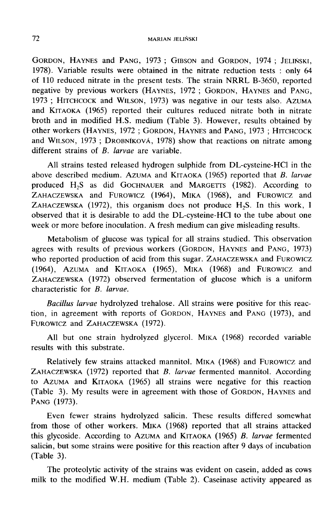MARIAN JELINSKI<br>GORDON, HAYNES and PANG, 1973 ; GIBSON and GORDON, 1974 ; JELINSKI,<br>1978). Variable results were obtained in the nitrate reduction tests : only 64 of 110 reduced nitrate in the present tests. The strain NRRL B-3650, reported negative by previous workers (HAYNES, 1972; GORDON, HAYNES and PANG, GORDON, HAYNES and PANG, 1973; GIBSON and GORDON, 1974; JELIŃSKI, 1978). Variable results were obtained in the nitrate reduction tests : only 64 of 110 reduced nitrate in the present tests. The strain NRRL B-3650, reported Froj. Vanable results were botained in the infrate reduction tests : only of<br>of 110 reduced nitrate in the present tests. The strain NRRL B-3650, reported<br>negative by previous workers (HAYNES, 1972 ; GORDON, HAYNES and PAN broth and in modified H.S. medium (Table 3). However, results obtained by other workers (HAYNES, 1972; GORDON, HAYNES and PANG, 1973; HITCHCOCK of Tro reduced infract in the present tests. The strain TVKKE B-5050, reported<br>negative by previous workers (HAYNES, 1972; GORDON, HAYNES and PANG,<br>1973; HITCHCOCK and WILSON, 1973) was negative in our tests also. AZUMA<br>an different strains of B. larvae are variable.

All strains tested released hydrogen sulphide from DL-cysteine-HCI in the and WILSON, 1973; DROBNIKOVÁ, 1978) show that reactions on nitrate among<br>different strains of *B. larvae* are variable.<br>All strains tested released hydrogen sulphide from DL-cysteine-HCl in the<br>above described medium. AZU produced H<sub>2</sub>S as did GOCHNAUER and MARGETTS (1982). According to other workers (HAYNES, 1972; GORDON, HAYNES and PANG, 1973; HITCHCOCK<br>
and WILSON, 1973; DROBNIKOVÁ, 1978) show that reactions on nitrate among<br>
different strains of *B. larvae* are variable.<br>
All strains tested released ZAHACZEWSKA and FUROWICZ (1964), MIKA (1968), and FUROWICZ and of *B. tarvae* are variable.<br>
ested released hydrogen sulphide from DL-cysteine-HCl in the<br>
medium. AzUMA and KITAOKA (1965) reported that *B. larvae*<br>
as did GOCHNAUER and MARGETTS (1982). According to<br>
and FUROWICZ (196 observed that it is desirable to add the DL-cysteine-HCl to the tube about one week or more before inoculation. A fresh medium can give misleading results.

ZAHACZEWSKA and FUROWICZ (1964), MIKA (1968), and FUROWICZ and ZAHACZEWSKA (1972), this organism does not produce  $H_2S$ . In this work, I observed that it is desirable to add the DL-cysteine-HCl to the tube about one week Metabolism of glucose was typical for all strains studied. This observation between that it is desirable to add the DL-cysteine-HCl to the tube about one week or more before inoculation. A fresh medium can give misleading results.<br>Metabolism of glucose was typical for all strains studied. This ob (1964), AZUMA and KITAOKA (1965), MIKA (1968) and FUROWICZ and Observed that<br>week or more b<br>Metabolisi<br>agrees with re<br>who reported<br>(1964), AzUM<br>ZAHACZEWSKA<br>characteristic f more before inoculation. A fresh mealum can give misleading results.<br>
abolism of glucose was typical for all strains studied. This observation<br>
ith results of previous workers (GORDON, HAYNES and PANG, 1973)<br>
orted product AHACZEWSKA (1972) observed fermentation of glucose which is a uniform characteristic for B. larvae. Who reported production of acid from<br>
(1964), AzUMA and KITAOKA (196<br>
ZAHACZEWSKA (1972) observed ferm<br>
characteristic for *B. larvae*.<br> *Bacillus larvae* hydrolyzed trehalo<br>
tion, in agreement with reports of C<br>
FUROWICZ

Bacillus larvae hydrolyzed trehalose. All strains were positive for this reac-ZAHACZEWSKA (1972) observed fermentation of glucose which is a uniform<br>characteristic for *B. larvae*.<br>*Bacillus larvae* hydrolyzed trehalose. All strains were positive for this reac-<br>tion, in agreement with reports of GOR FUROWICZ and ZAHACZEWSKA (1972).<br>All but one strain hydrolyzed glycerol. MIKA (1968) recorded variable

results with this substrate.

Fundation<br>FUROWICZ and<br>FUROWICZ and<br>All but c<br>results with the<br>Relatively<br>ZAHACZEWSKA<br>to AZUMA and<br>Table 2) My FUROWICZ and ZAHACZEWSKA (1972).<br>
All but one strain hydrolyzed glycerol. MIKA (1968) recorded variable<br>
results with this substrate.<br>
Relatively few strains attacked mannitol. MIKA (1968) and FUROWICZ and<br>
ZAHACZEWSKA (19 The Azuma is a tracked mannitol. MIKA (1968) and FUROWICZ and THACZEWSKA (1972) reported that *B. larvae* fermented mannitol. According to AzUMA and KITAOKA (1965) all strains were negative for this reaction (Table 3). My Relatively few strains attacked mannitol. MIKA (1968) and FUROWICZ and ZAHACZEWSKA (1972) reported that *B. larvae* fermented mannitol. According to AZUMA and KITAOKA (1965) all strains were negative for this reaction (Tab PANG (1973).

Even fewer strains hydrolyzed salicin. These results differed somewhat from those of other workers. MIKA (1968) reported that all strains attacked this glycoside. According to AZUMA and KITAOKA (1965) B. larvae fermented salicin, but some strains were positive for this reaction after 9 days of incubation (Table 3).

The proteolytic activity of the strains was evident on casein, added as cows milk to the modified W.H. medium (Table 2). Caseinase activity appeared as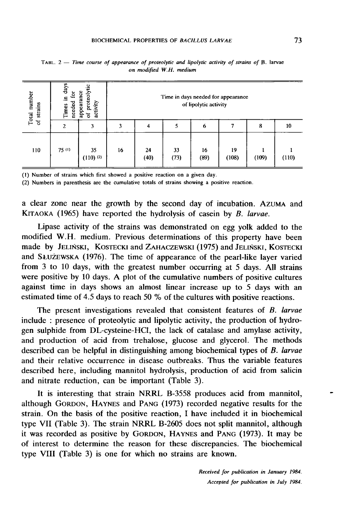| number<br>strains<br>Total<br>ัธ | days<br>appearance<br>proteoly<br>ន<br>르.<br>needed<br>activity<br>Times<br>ិ៍ |                   | Time in days needed for appearance<br>of lipolytic activity |            |            |            |             |       |       |  |
|----------------------------------|--------------------------------------------------------------------------------|-------------------|-------------------------------------------------------------|------------|------------|------------|-------------|-------|-------|--|
|                                  | 2                                                                              | 3                 | 3                                                           | 4          | 5          | 6          |             | 8     | 10    |  |
| 110                              | 75(1)                                                                          | 35<br>$(110)$ (2) | 16                                                          | 24<br>(40) | 33<br>(73) | 16<br>(89) | 19<br>(108) | (109) | (110) |  |

TABL.  $2$  - Time course of appearance of proteolytic and lipolytic activity of strains of B. larvae on modified W.H. medium

a clear zone near the growth by the second day of incubation. Azuma and (1) Number of strains which first showed a positive reaction on a given day.<br>
(2) Numbers in parenthesis are the cumulative totals of strains showing a positive reaction.<br>
A clear zone near the growth by the second day of

Lipase activity of the strains was demonstrated on egg yolk added to the modified W.H. medium. Previous determinations of this property have been made by JELINSKI, KOSTECKI and ZAHACZEWSKI (1975) and JELINSKI, KOSTECKI a clear zone near the growth by the second day of incubation. AZUMA and <br>KITAOKA (1965) have reported the hydrolysis of casein by *B. larvae*.<br>Lipase activity of the strains was demonstrated on egg yolk added to the<br>modifi A VICAT LIGHT THE SEVIDE OF THE SECOND ALT OF THE SECOND AND KITAOKA (1965) have reported the hydrolysis of casein by *B. larvae*.<br>Lipase activity of the strains was demonstrated on egg yolk added to the modified W.H. medi from 3 to 10 days, with the greatest number occurring at 5 days. All strains were positive by 10 days. A plot of the cumulative numbers of positive cultures against time in days shows an almost linear increase up to 5 days with an estimated time of 4.5 days to reach 50 % of the cultures with positive reactions.

The present investigations revealed that consistent features of B. larvae include : presence of proteolytic and lipolytic activity, the production of hydrogen sulphide from DL-cysteine-HCI, the lack of catalase and amylase activity, and production of acid from trehalose, glucose and glycerol. The methods described can be helpful in distinguishing among biochemical types of B. larvae and their relative occurrence in disease outbreaks. Thus the variable features described here, including mannitol hydrolysis, production of acid from salicin and nitrate reduction, can be important (Table 3).

It is interesting that strain NRRL B-3558 produces acid from mannitol, described here, including mannitol hydrolysis, production of acid from salicin<br>and nitrate reduction, can be important (Table 3).<br>It is interesting that strain NRRL B-3558 produces acid from mannitol,<br>although GORDON, HAYN strain. On the basis of the positive reaction, I have included it in biochemical type VII (Table 3). The strain NRRL B-2605 does not split mannitol, although it was recorded as positive by GORDON, HAYNES and PANG (1973). It may be It is increasing that strain NKKE B 3336 produces actd from manimor,<br>although GORDON, HAYNES and PANG (1973) recorded negative results for the<br>strain. On the basis of the positive reaction, I have included it in biochemica of interest to determine the reason for these discrepancies. The biochemical type VIII (Table 3) is one for which no strains are known.

> Received for publication in January 1984. Accepted for publication in July 1984.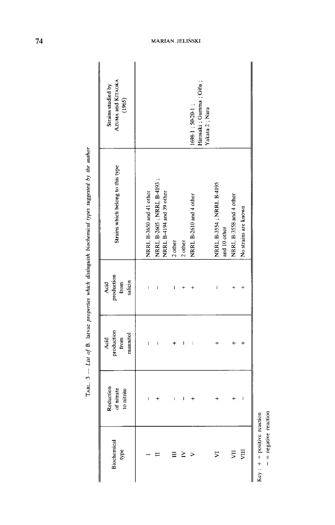TABL.  $3 - L$ kst of B. larvae properties which distinguish biochemical types suggested by the author

 $-$  = negative reaction

# MARIAN JELIÑSKI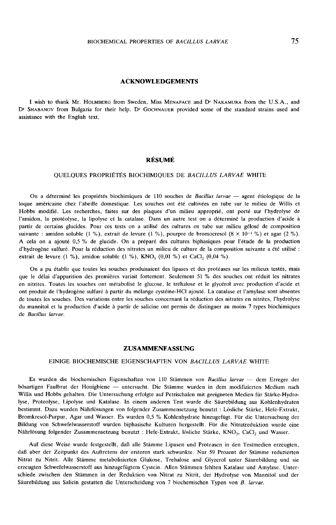# ACKNOWLEDGEMENTS

I wish to thank Mr. HOLMBERG from Sweden, Miss MENAPACE and D<sup>r</sup> NAKAMURA from the U.S.A., and<br>D<sup>r</sup> SHABANOV from Bulgaria for their help. D<sup>r</sup> GocHNAUER provided some of the standard strains used and<br>assistance with the E assistance with the English text.

# RÉSUMÉ

# QUELQUES PROPRIÉTÉS BIOCHIMIQUES DE BACILLUS LARVAE WHITE

On a déterminé les propriétés biochimiques de 110 souches de Bacillus larvae — agent étiologique de la loque américaine chez l'abeille domestique. Les souches ont été cultivées en tube sur le milieu de Willis et Hobbs modifié. Les recherches, faites sur des plaques d'un milieu approprié, ont porté sur l'hydrolyse de l'amidon, la protéolyse, la lipolyse et la catalase. Dans un autre test on a déterminé la production d'acide à partir de certains glucides. Pour ces tests on a utilisé des cultures en tube sur milieu gélosé de composition<br>suivante : amidon soluble (1 %), extrait de levure (1 %), pourpre de bromocresol (8 × 10<sup>-1</sup> %) et agar (2 %). d'hydrogène sulfuré. Pour la réduction des nitrates un milieu de culture de la composition suivante a été utilisé :<br>extrait de levure (1 %), amidon soluble (1 %), KNO<sub>3</sub> (0,01 %) et CaCl<sub>2</sub> (0,04 %).

On a pu établir que toutes les souches produisaient des lipases et des protéases sur les milieux testés, mais que le délai d'apparition des premières variait fortement. Seulement 51 % des souches ont réduit les nitrates en nitrites. Toutes les souches ont métabolisé le glucose, le tréhalose et le glycérol avec production d'acide et ont produit de l'hydrogène sulfuré à partir du mélange cystéine-HCI ajouté. La catalase et l'amylase sont absentes de toutes les souches. Des variations entre les souches concernant la réduction des nitrates en nitrites, l'hydrolyse du mannitol et la production d'acide à partir de salicine ont permis de distinguer au moins 7 types biochimiques de Bacillus larvae.

# ZUSAMMENFASSUNG

### EINIGE BIOCHEMISCHE EIGENSCHAFTEN VON BACILLUS LARVAE WHITE

Es wurden die biochemischen Eigenschaften von 110 Stämmen von Bacillus larvae - dem Erreger der bösartigen Faulbrut der Honigbiene - untersucht. Die Stämme wurden in dem modifizierten Medium nach Willis und Hobbs gehalten. Die Untersuchung erfolgte auf Petrischalen mit geeigneten Medien für Stärke-Hydrolyse, Proteolyse, Lipolyse und Katalase. In einem anderen Test wurde die Säurebildung aus Kohlenhydraten bestimmt. Dazu wurden Nährlösungen von folgender Zusammensetzung benutzt : Lösliche Stärke, Hefe-Extrakt, Bromkresol-Purpur, Agar und Wasser. Es wurden 0,5 % Kohlenhydrate hinzugefügt. Für die Untersuchung der Bildung von Schwefelwasserstoff wurden biphasische Kulturen hergestellt. Für die Nitratreduktion wurde eine Bromkresol-Purpur, Agar und Wasser. Es wurden 0,5 % Kohlenhydrate hinzugefügt. Für die Untersuchung<br>Bildung von Schwefelwasserstoff wurden biphasische Kulturen hergestellt. Für die Nitratreduktion wurde<br>Nährlösung folgende

Auf diese Weise wurde festgestellt, daß alle Stämme Lipasen und Proteasen in den Testmedien erzeugten, daß aber der Zeitpunkt des Auftretens der ersteren stark schwankte. Nur 59 Prozent der Stämme reduzierten Nitrat zu Nitrit. Alle Stämme metabolisierten Glukose, Trehalose und Glyzerol unter Säurebildung und sie erzeugten Schwefelwasserstoff aus hinzugefügtem Cystein. Allen Stämmen fehlten Katalase und Amylase. Unterschiede zwischen den Stämmen in der Reduktion von Nitrat zu Nitrit, der Hydrolyse von Mannitol und der Säurebildung aus Salicin gestatten die Unterscheidung von 7 biochemischen Typen von B. larvae.